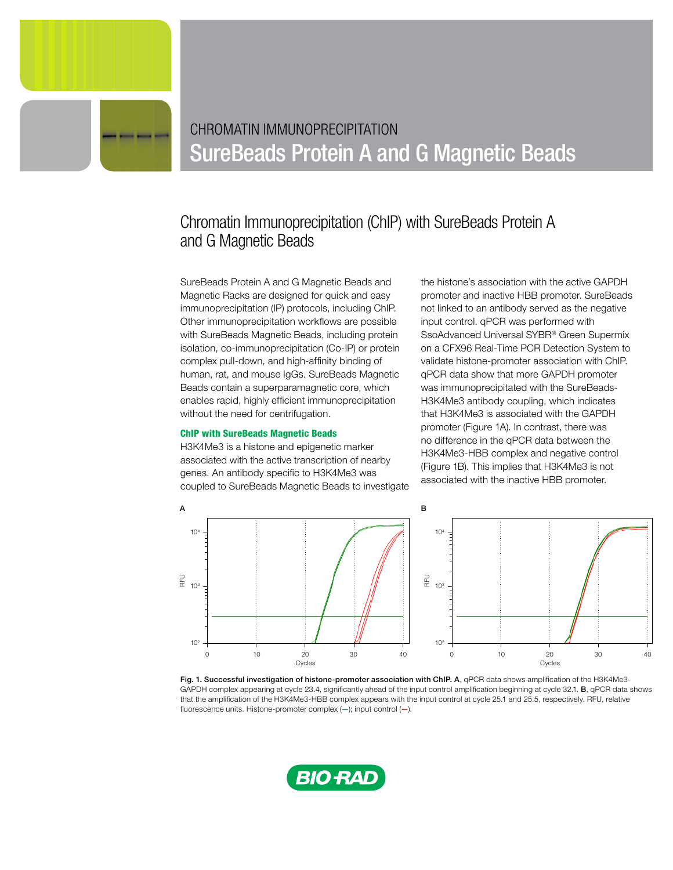# CHROMATIN IMMUNOPRECIPITATION SureBeads Protein A and G Magnetic Beads

# Chromatin Immunoprecipitation (ChIP) with SureBeads Protein A and G Magnetic Beads

SureBeads Protein A and G Magnetic Beads and Magnetic Racks are designed for quick and easy immunoprecipitation (IP) protocols, including ChIP. Other immunoprecipitation workflows are possible with SureBeads Magnetic Beads, including protein isolation, co-immunoprecipitation (Co-IP) or protein complex pull-down, and high-affinity binding of human, rat, and mouse IgGs. SureBeads Magnetic Beads contain a superparamagnetic core, which enables rapid, highly efficient immunoprecipitation without the need for centrifugation.

## ChIP with SureBeads Magnetic Beads

H3K4Me3 is a histone and epigenetic marker associated with the active transcription of nearby genes. An antibody specific to H3K4Me3 was coupled to SureBeads Magnetic Beads to investigate

the histone's association with the active GAPDH promoter and inactive HBB promoter. SureBeads not linked to an antibody served as the negative input control. qPCR was performed with SsoAdvanced Universal SYBR® Green Supermix on a CFX96 Real-Time PCR Detection System to validate histone-promoter association with ChIP. qPCR data show that more GAPDH promoter was immunoprecipitated with the SureBeads-H3K4Me3 antibody coupling, which indicates that H3K4Me3 is associated with the GAPDH promoter (Figure 1A). In contrast, there was no difference in the qPCR data between the H3K4Me3-HBB complex and negative control (Figure 1B). This implies that H3K4Me3 is not associated with the inactive HBB promoter.



Fig. 1. Successful investigation of histone-promoter association with ChIP. A, qPCR data shows amplification of the H3K4Me3-GAPDH complex appearing at cycle 23.4, significantly ahead of the input control amplification beginning at cycle 32.1. B, qPCR data shows that the amplification of the H3K4Me3-HBB complex appears with the input control at cycle 25.1 and 25.5, respectively. RFU, relative fluorescence units. Histone-promoter complex (—); input control (—).